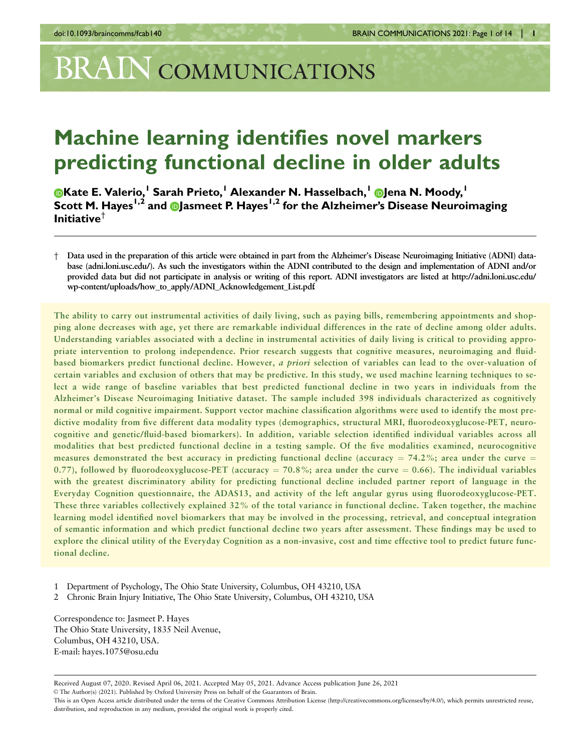# BRAIN COMMUNICATIONS

# Machine learning identifies novel markers predicting functional decline in older adults

**OKate E. Valerio,<sup>1</sup> Sarah Prieto,<sup>1</sup> Alexander N. Hasselbach,<sup>1</sup> Dlena N. Moody,<sup>1</sup>** Scott M. Hayes<sup>1,2</sup> and Dasmeet P. Hayes<sup>1,2</sup> for the Alzheimer's Disease Neuroimaging Initiative $^{\dagger}$ 

The ability to carry out instrumental activities of daily living, such as paying bills, remembering appointments and shopping alone decreases with age, yet there are remarkable individual differences in the rate of decline among older adults. Understanding variables associated with a decline in instrumental activities of daily living is critical to providing appropriate intervention to prolong independence. Prior research suggests that cognitive measures, neuroimaging and fluidbased biomarkers predict functional decline. However, a priori selection of variables can lead to the over-valuation of certain variables and exclusion of others that may be predictive. In this study, we used machine learning techniques to select a wide range of baseline variables that best predicted functional decline in two years in individuals from the Alzheimer's Disease Neuroimaging Initiative dataset. The sample included 398 individuals characterized as cognitively normal or mild cognitive impairment. Support vector machine classification algorithms were used to identify the most predictive modality from five different data modality types (demographics, structural MRI, fluorodeoxyglucose-PET, neurocognitive and genetic/fluid-based biomarkers). In addition, variable selection identified individual variables across all modalities that best predicted functional decline in a testing sample. Of the five modalities examined, neurocognitive measures demonstrated the best accuracy in predicting functional decline (accuracy  $= 74.2\%$ ; area under the curve  $=$ 0.77), followed by fluorodeoxyglucose-PET (accuracy = 70.8%; area under the curve = 0.66). The individual variables with the greatest discriminatory ability for predicting functional decline included partner report of language in the Everyday Cognition questionnaire, the ADAS13, and activity of the left angular gyrus using fluorodeoxyglucose-PET. These three variables collectively explained 32% of the total variance in functional decline. Taken together, the machine learning model identified novel biomarkers that may be involved in the processing, retrieval, and conceptual integration of semantic information and which predict functional decline two years after assessment. These findings may be used to explore the clinical utility of the Everyday Cognition as a non-invasive, cost and time effective tool to predict future functional decline.

1 Department of Psychology, The Ohio State University, Columbus, OH 43210, USA

2 Chronic Brain Injury Initiative, The Ohio State University, Columbus, OH 43210, USA

Correspondence to: Jasmeet P. Hayes The Ohio State University, 1835 Neil Avenue, Columbus, OH 43210, USA. E-mail: hayes.1075@osu.edu

Received August 07, 2020. Revised April 06, 2021. Accepted May 05, 2021. Advance Access publication June 26, 2021 V<sup>C</sup> The Author(s) (2021). Published by Oxford University Press on behalf of the Guarantors of Brain.

<sup>†</sup> Data used in the preparation of this article were obtained in part from the Alzheimer's Disease Neuroimaging Initiative (ADNI) database (adni.loni.usc.edu/). As such the investigators within the ADNI contributed to the design and implementation of ADNI and/or provided data but did not participate in analysis or writing of this report. ADNI investigators are listed at http://adni.loni.usc.edu/ wp-content/uploads/how\_to\_apply/ADNI\_Acknowledgement\_List.pdf.

This is an Open Access article distributed under the terms of the Creative Commons Attribution License (http://creativecommons.org/licenses/by/4.0/), which permits unrestricted reuse, distribution, and reproduction in any medium, provided the original work is properly cited.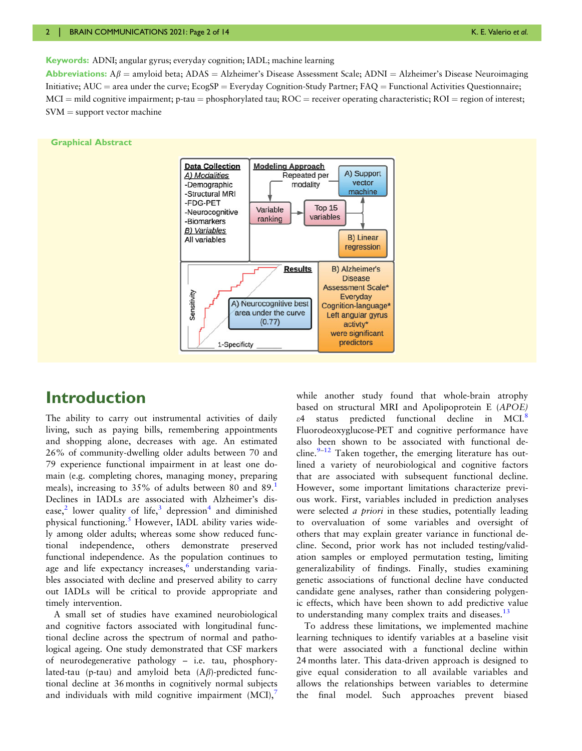<span id="page-1-0"></span>Keywords: ADNI; angular gyrus; everyday cognition; IADL; machine learning

**Abbreviations:**  $A\beta$  = amyloid beta; ADAS = Alzheimer's Disease Assessment Scale; ADNI = Alzheimer's Disease Neuroimaging Initiative;  $AUC =$  area under the curve;  $EcosSP = Everyday$  Cognition-Study Partner;  $FAQ =$  Functional Activities Questionnaire;  $MCI =$  mild cognitive impairment; p-tau = phosphorylated tau;  $ROC =$  receiver operating characteristic;  $ROI =$  region of interest;  $SVM = support vector machine$ 

#### Graphical Abstract



# Introduction

The ability to carry out instrumental activities of daily living, such as paying bills, remembering appointments and shopping alone, decreases with age. An estimated 26% of community-dwelling older adults between 70 and 79 experience functional impairment in at least one domain (e.g. completing chores, managing money, preparing meals), increasing to 35% of adults between 80 and 89. Declines in IADLs are associated with Alzheimer's dis-ease,<sup>[2](#page-11-0)</sup> lower quality of life,<sup>[3](#page-12-0)</sup> depression<sup>[4](#page-12-0)</sup> and diminished physical functioning.<sup>[5](#page-12-0)</sup> However, IADL ability varies widely among older adults; whereas some show reduced functional independence, others demonstrate preserved functional independence. As the population continues to age and life expectancy increases, $6$  understanding variables associated with decline and preserved ability to carry out IADLs will be critical to provide appropriate and timely intervention.

A small set of studies have examined neurobiological and cognitive factors associated with longitudinal functional decline across the spectrum of normal and pathological ageing. One study demonstrated that CSF markers of neurodegenerative pathology – i.e. tau, phosphorylated-tau (p-tau) and amyloid beta  $(A\beta)$ -predicted functional decline at 36 months in cognitively normal subjects and individuals with mild cognitive impairment  $(MCI)$ ,

while another study found that whole-brain atrophy based on structural MRI and Apolipoprotein E (APOE) e4 status predicted functional decline in MCI.[8](#page-12-0) Fluorodeoxyglucose-PET and cognitive performance have also been shown to be associated with functional decline. $9-12$  $9-12$  Taken together, the emerging literature has outlined a variety of neurobiological and cognitive factors that are associated with subsequent functional decline. However, some important limitations characterize previous work. First, variables included in prediction analyses were selected *a priori* in these studies, potentially leading to overvaluation of some variables and oversight of others that may explain greater variance in functional decline. Second, prior work has not included testing/validation samples or employed permutation testing, limiting generalizability of findings. Finally, studies examining genetic associations of functional decline have conducted candidate gene analyses, rather than considering polygenic effects, which have been shown to add predictive value to understanding many complex traits and diseases. $13$ 

To address these limitations, we implemented machine learning techniques to identify variables at a baseline visit that were associated with a functional decline within 24 months later. This data-driven approach is designed to give equal consideration to all available variables and allows the relationships between variables to determine the final model. Such approaches prevent biased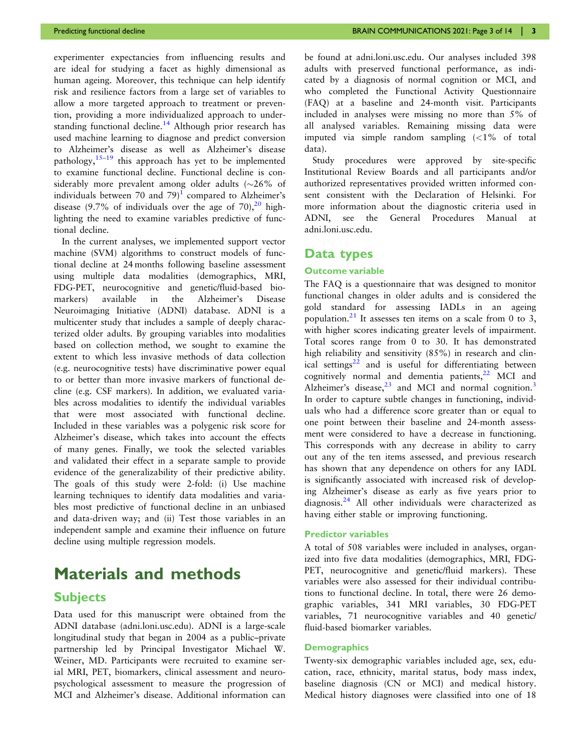<span id="page-2-0"></span>experimenter expectancies from influencing results and are ideal for studying a facet as highly dimensional as human ageing. Moreover, this technique can help identify risk and resilience factors from a large set of variables to allow a more targeted approach to treatment or prevention, providing a more individualized approach to under-standing functional decline.<sup>[14](#page-12-0)</sup> Although prior research has used machine learning to diagnose and predict conversion to Alzheimer's disease as well as Alzheimer's disease pathology, $15-19$  $15-19$  this approach has yet to be implemented to examine functional decline. Functional decline is considerably more prevalent among older adults ( ${\sim}26\%$  of individuals between 70 and 79 $\text{)}^1$  $\text{)}^1$  compared to Alzheimer's disease (9.7% of individuals over the age of 70),  $20$  highlighting the need to examine variables predictive of functional decline.

In the current analyses, we implemented support vector machine (SVM) algorithms to construct models of functional decline at 24 months following baseline assessment using multiple data modalities (demographics, MRI, FDG-PET, neurocognitive and genetic/fluid-based biomarkers) available in the Alzheimer's Disease Neuroimaging Initiative (ADNI) database. ADNI is a multicenter study that includes a sample of deeply characterized older adults. By grouping variables into modalities based on collection method, we sought to examine the extent to which less invasive methods of data collection (e.g. neurocognitive tests) have discriminative power equal to or better than more invasive markers of functional decline (e.g. CSF markers). In addition, we evaluated variables across modalities to identify the individual variables that were most associated with functional decline. Included in these variables was a polygenic risk score for Alzheimer's disease, which takes into account the effects of many genes. Finally, we took the selected variables and validated their effect in a separate sample to provide evidence of the generalizability of their predictive ability. The goals of this study were 2-fold: (i) Use machine learning techniques to identify data modalities and variables most predictive of functional decline in an unbiased and data-driven way; and (ii) Test those variables in an independent sample and examine their influence on future decline using multiple regression models.

# Materials and methods

## **Subjects**

Data used for this manuscript were obtained from the ADNI database (adni.loni.usc.edu). ADNI is a large-scale longitudinal study that began in 2004 as a public–private partnership led by Principal Investigator Michael W. Weiner, MD. Participants were recruited to examine serial MRI, PET, biomarkers, clinical assessment and neuropsychological assessment to measure the progression of MCI and Alzheimer's disease. Additional information can be found at adni.loni.usc.edu. Our analyses included 398 adults with preserved functional performance, as indicated by a diagnosis of normal cognition or MCI, and who completed the Functional Activity Questionnaire (FAQ) at a baseline and 24-month visit. Participants included in analyses were missing no more than 5% of all analysed variables. Remaining missing data were imputed via simple random sampling (<1% of total data).

Study procedures were approved by site-specific Institutional Review Boards and all participants and/or authorized representatives provided written informed consent consistent with the Declaration of Helsinki. For more information about the diagnostic criteria used in ADNI, see the General Procedures Manual at adni.loni.usc.edu.

## Data types

#### Outcome variable

The FAQ is a questionnaire that was designed to monitor functional changes in older adults and is considered the gold standard for assessing IADLs in an ageing population.<sup>[21](#page-12-0)</sup> It assesses ten items on a scale from 0 to 3, with higher scores indicating greater levels of impairment. Total scores range from 0 to 30. It has demonstrated high reliability and sensitivity (85%) in research and clinical settings $22$  and is useful for differentiating between cognitively normal and dementia patients, $^{22}$  $^{22}$  $^{22}$  MCI and Alzheimer's disease, $23$  and MCI and normal cognition.<sup>[3](#page-12-0)</sup> In order to capture subtle changes in functioning, individuals who had a difference score greater than or equal to one point between their baseline and 24-month assessment were considered to have a decrease in functioning. This corresponds with any decrease in ability to carry out any of the ten items assessed, and previous research has shown that any dependence on others for any IADL is significantly associated with increased risk of developing Alzheimer's disease as early as five years prior to diagnosis.[24](#page-12-0) All other individuals were characterized as having either stable or improving functioning.

### Predictor variables

A total of 508 variables were included in analyses, organized into five data modalities (demographics, MRI, FDG-PET, neurocognitive and genetic/fluid markers). These variables were also assessed for their individual contributions to functional decline. In total, there were 26 demographic variables, 341 MRI variables, 30 FDG-PET variables, 71 neurocognitive variables and 40 genetic/ fluid-based biomarker variables.

#### **Demographics**

Twenty-six demographic variables included age, sex, education, race, ethnicity, marital status, body mass index, baseline diagnosis (CN or MCI) and medical history. Medical history diagnoses were classified into one of 18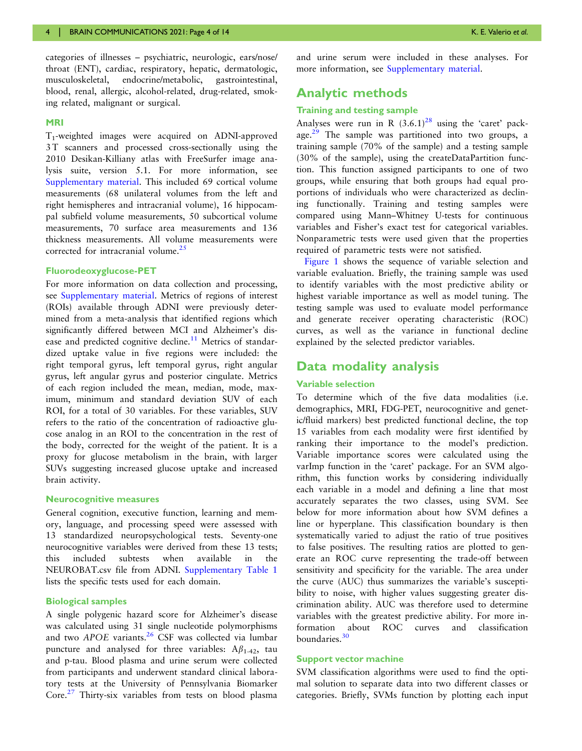<span id="page-3-0"></span>categories of illnesses – psychiatric, neurologic, ears/nose/ throat (ENT), cardiac, respiratory, hepatic, dermatologic, musculoskeletal, endocrine/metabolic, gastrointestinal, blood, renal, allergic, alcohol-related, drug-related, smoking related, malignant or surgical.

#### MRI

T1-weighted images were acquired on ADNI-approved 3 T scanners and processed cross-sectionally using the 2010 Desikan-Killiany atlas with FreeSurfer image analysis suite, version 5.1. For more information, see [Supplementary material](https://academic.oup.com/braincomms/article-lookup/doi/10.1093/braincomms/fcab140#supplementary-data). This included 69 cortical volume measurements (68 unilateral volumes from the left and right hemispheres and intracranial volume), 16 hippocampal subfield volume measurements, 50 subcortical volume measurements, 70 surface area measurements and 136 thickness measurements. All volume measurements were corrected for intracranial volume. $25$ 

#### Fluorodeoxyglucose-PET

For more information on data collection and processing, see [Supplementary material.](https://academic.oup.com/braincomms/article-lookup/doi/10.1093/braincomms/fcab140#supplementary-data) Metrics of regions of interest (ROIs) available through ADNI were previously determined from a meta-analysis that identified regions which significantly differed between MCI and Alzheimer's dis-ease and predicted cognitive decline.<sup>[11](#page-12-0)</sup> Metrics of standardized uptake value in five regions were included: the right temporal gyrus, left temporal gyrus, right angular gyrus, left angular gyrus and posterior cingulate. Metrics of each region included the mean, median, mode, maximum, minimum and standard deviation SUV of each ROI, for a total of 30 variables. For these variables, SUV refers to the ratio of the concentration of radioactive glucose analog in an ROI to the concentration in the rest of the body, corrected for the weight of the patient. It is a proxy for glucose metabolism in the brain, with larger SUVs suggesting increased glucose uptake and increased brain activity.

#### Neurocognitive measures

General cognition, executive function, learning and memory, language, and processing speed were assessed with 13 standardized neuropsychological tests. Seventy-one neurocognitive variables were derived from these 13 tests; this included subtests when available in the NEUROBAT.csv file from ADNI. [Supplementary Table 1](https://academic.oup.com/braincomms/article-lookup/doi/10.1093/braincomms/fcab140#supplementary-data) lists the specific tests used for each domain.

## Biological samples

A single polygenic hazard score for Alzheimer's disease was calculated using 31 single nucleotide polymorphisms and two APOE variants.<sup>[26](#page-12-0)</sup> CSF was collected via lumbar puncture and analysed for three variables:  $A\beta_{1-42}$ , tau and p-tau. Blood plasma and urine serum were collected from participants and underwent standard clinical laboratory tests at the University of Pennsylvania Biomarker Core.<sup>[27](#page-12-0)</sup> Thirty-six variables from tests on blood plasma

and urine serum were included in these analyses. For more information, see [Supplementary material](https://academic.oup.com/braincomms/article-lookup/doi/10.1093/braincomms/fcab140#supplementary-data).

## Analytic methods

## Training and testing sample

Analyses were run in R  $(3.6.1)^{28}$  $(3.6.1)^{28}$  $(3.6.1)^{28}$  using the 'caret' package.<sup>29</sup> The sample was partitioned into two groups, a training sample (70% of the sample) and a testing sample (30% of the sample), using the createDataPartition function. This function assigned participants to one of two groups, while ensuring that both groups had equal proportions of individuals who were characterized as declining functionally. Training and testing samples were compared using Mann–Whitney U-tests for continuous variables and Fisher's exact test for categorical variables. Nonparametric tests were used given that the properties required of parametric tests were not satisfied.

[Figure 1](#page-4-0) shows the sequence of variable selection and variable evaluation. Briefly, the training sample was used to identify variables with the most predictive ability or highest variable importance as well as model tuning. The testing sample was used to evaluate model performance and generate receiver operating characteristic (ROC) curves, as well as the variance in functional decline explained by the selected predictor variables.

## Data modality analysis

## Variable selection

To determine which of the five data modalities (i.e. demographics, MRI, FDG-PET, neurocognitive and genetic/fluid markers) best predicted functional decline, the top 15 variables from each modality were first identified by ranking their importance to the model's prediction. Variable importance scores were calculated using the varImp function in the 'caret' package. For an SVM algorithm, this function works by considering individually each variable in a model and defining a line that most accurately separates the two classes, using SVM. See below for more information about how SVM defines a line or hyperplane. This classification boundary is then systematically varied to adjust the ratio of true positives to false positives. The resulting ratios are plotted to generate an ROC curve representing the trade-off between sensitivity and specificity for the variable. The area under the curve (AUC) thus summarizes the variable's susceptibility to noise, with higher values suggesting greater discrimination ability. AUC was therefore used to determine variables with the greatest predictive ability. For more information about ROC curves and classification boundaries.<sup>[30](#page-12-0)</sup>

#### Support vector machine

SVM classification algorithms were used to find the optimal solution to separate data into two different classes or categories. Briefly, SVMs function by plotting each input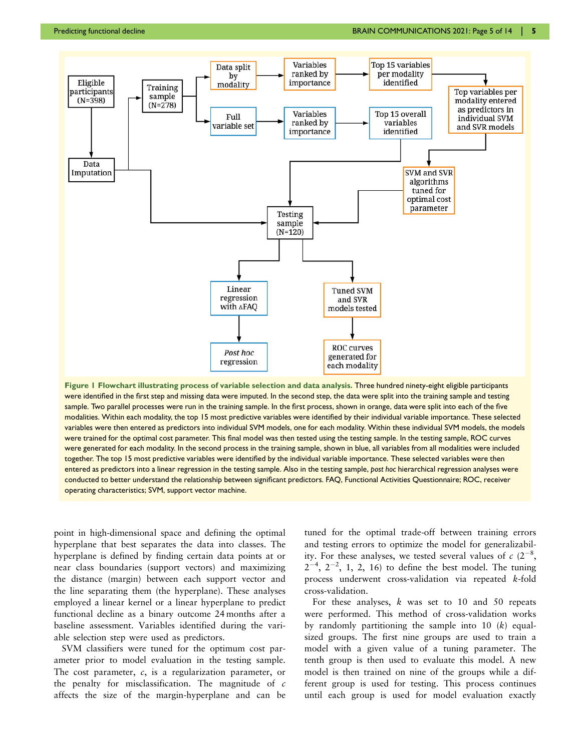<span id="page-4-0"></span>

Figure 1 Flowchart illustrating process of variable selection and data analysis. Three hundred ninety-eight eligible participants were identified in the first step and missing data were imputed. In the second step, the data were split into the training sample and testing sample. Two parallel processes were run in the training sample. In the first process, shown in orange, data were split into each of the five modalities. Within each modality, the top 15 most predictive variables were identified by their individual variable importance. These selected variables were then entered as predictors into individual SVM models, one for each modality. Within these individual SVM models, the models were trained for the optimal cost parameter. This final model was then tested using the testing sample. In the testing sample, ROC curves were generated for each modality. In the second process in the training sample, shown in blue, all variables from all modalities were included together. The top 15 most predictive variables were identified by the individual variable importance. These selected variables were then entered as predictors into a linear regression in the testing sample. Also in the testing sample, post hoc hierarchical regression analyses were conducted to better understand the relationship between significant predictors. FAQ, Functional Activities Questionnaire; ROC, receiver operating characteristics; SVM, support vector machine.

point in high-dimensional space and defining the optimal hyperplane that best separates the data into classes. The hyperplane is defined by finding certain data points at or near class boundaries (support vectors) and maximizing the distance (margin) between each support vector and the line separating them (the hyperplane). These analyses employed a linear kernel or a linear hyperplane to predict functional decline as a binary outcome 24 months after a baseline assessment. Variables identified during the variable selection step were used as predictors.

SVM classifiers were tuned for the optimum cost parameter prior to model evaluation in the testing sample. The cost parameter,  $c$ , is a regularization parameter, or the penalty for misclassification. The magnitude of  $c$ affects the size of the margin-hyperplane and can be tuned for the optimal trade-off between training errors and testing errors to optimize the model for generalizability. For these analyses, we tested several values of  $c(2^{-8},$  $2^{-4}$ ,  $2^{-2}$ , 1, 2, 16) to define the best model. The tuning process underwent cross-validation via repeated k-fold cross-validation.

For these analyses,  $k$  was set to 10 and 50 repeats were performed. This method of cross-validation works by randomly partitioning the sample into 10  $(k)$  equalsized groups. The first nine groups are used to train a model with a given value of a tuning parameter. The tenth group is then used to evaluate this model. A new model is then trained on nine of the groups while a different group is used for testing. This process continues until each group is used for model evaluation exactly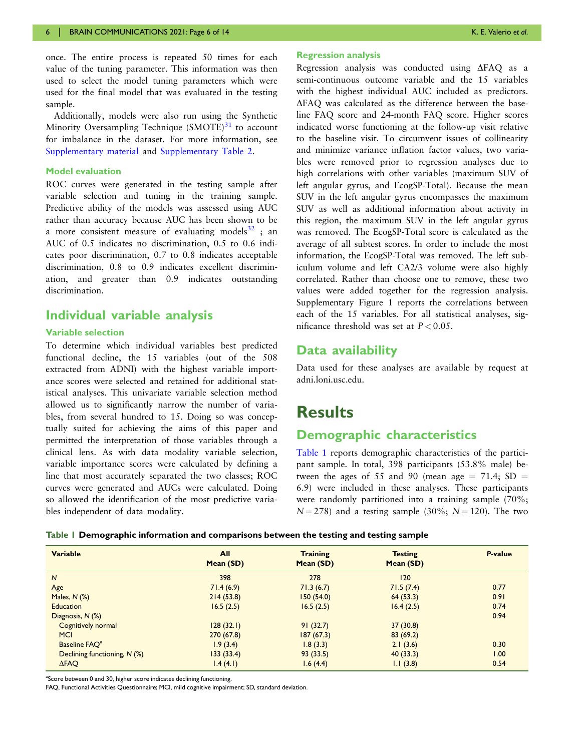<span id="page-5-0"></span>once. The entire process is repeated 50 times for each value of the tuning parameter. This information was then used to select the model tuning parameters which were used for the final model that was evaluated in the testing sample.

Additionally, models were also run using the Synthetic Minority Oversampling Technique  $(SMOTE)^{31}$  $(SMOTE)^{31}$  $(SMOTE)^{31}$  to account for imbalance in the dataset. For more information, see [Supplementary material](https://academic.oup.com/braincomms/article-lookup/doi/10.1093/braincomms/fcab140#supplementary-data) and [Supplementary Table 2.](https://academic.oup.com/braincomms/article-lookup/doi/10.1093/braincomms/fcab140#supplementary-data)

#### Model evaluation

ROC curves were generated in the testing sample after variable selection and tuning in the training sample. Predictive ability of the models was assessed using AUC rather than accuracy because AUC has been shown to be a more consistent measure of evaluating models $^{32}$  $^{32}$  $^{32}$ ; an AUC of 0.5 indicates no discrimination, 0.5 to 0.6 indicates poor discrimination, 0.7 to 0.8 indicates acceptable discrimination, 0.8 to 0.9 indicates excellent discrimination, and greater than 0.9 indicates outstanding discrimination.

## Individual variable analysis

## Variable selection

To determine which individual variables best predicted functional decline, the 15 variables (out of the 508 extracted from ADNI) with the highest variable importance scores were selected and retained for additional statistical analyses. This univariate variable selection method allowed us to significantly narrow the number of variables, from several hundred to 15. Doing so was conceptually suited for achieving the aims of this paper and permitted the interpretation of those variables through a clinical lens. As with data modality variable selection, variable importance scores were calculated by defining a line that most accurately separated the two classes; ROC curves were generated and AUCs were calculated. Doing so allowed the identification of the most predictive variables independent of data modality.

#### Regression analysis

Regression analysis was conducted using  $\triangle$ FAQ as a semi-continuous outcome variable and the 15 variables with the highest individual AUC included as predictors.  $\Delta$ FAQ was calculated as the difference between the baseline FAQ score and 24-month FAQ score. Higher scores indicated worse functioning at the follow-up visit relative to the baseline visit. To circumvent issues of collinearity and minimize variance inflation factor values, two variables were removed prior to regression analyses due to high correlations with other variables (maximum SUV of left angular gyrus, and EcogSP-Total). Because the mean SUV in the left angular gyrus encompasses the maximum SUV as well as additional information about activity in this region, the maximum SUV in the left angular gyrus was removed. The EcogSP-Total score is calculated as the average of all subtest scores. In order to include the most information, the EcogSP-Total was removed. The left subiculum volume and left CA2/3 volume were also highly correlated. Rather than choose one to remove, these two values were added together for the regression analysis. Supplementary Figure 1 reports the correlations between each of the 15 variables. For all statistical analyses, significance threshold was set at  $P < 0.05$ .

## Data availability

Data used for these analyses are available by request at adni.loni.usc.edu.

# **Results**

## Demographic characteristics

Table 1 reports demographic characteristics of the participant sample. In total, 398 participants (53.8% male) between the ages of 55 and 90 (mean age  $= 71.4$ ; SD  $=$ 6.9) were included in these analyses. These participants were randomly partitioned into a training sample (70%;  $N = 278$ ) and a testing sample (30%;  $N = 120$ ). The two

| Table   Demographic information and comparisons between the testing and testing sample |  |  |  |
|----------------------------------------------------------------------------------------|--|--|--|
|                                                                                        |  |  |  |
|                                                                                        |  |  |  |
|                                                                                        |  |  |  |

| <b>Variable</b>              | All<br>Mean (SD) | <b>Training</b><br>Mean (SD) | <b>Testing</b><br>Mean (SD) | P-value |
|------------------------------|------------------|------------------------------|-----------------------------|---------|
| $\overline{N}$               | 398              | 278                          | 120                         |         |
| Age                          | 71.4(6.9)        | 71.3(6.7)                    | 71.5(7.4)                   | 0.77    |
| Males, $N$ $(\%)$            | 214(53.8)        | 150(54.0)                    | 64(53.3)                    | 0.91    |
| <b>Education</b>             | 16.5(2.5)        | 16.5(2.5)                    | 16.4(2.5)                   | 0.74    |
| Diagnosis, N (%)             |                  |                              |                             | 0.94    |
| Cognitively normal           | 128(32.1)        | 91(32.7)                     | 37(30.8)                    |         |
| <b>MCI</b>                   | 270(67.8)        | 187(67.3)                    | 83(69.2)                    |         |
| Baseline FAO <sup>a</sup>    | 1.9(3.4)         | 1.8(3.3)                     | 2.1(3.6)                    | 0.30    |
| Declining functioning, N (%) | 133(33.4)        | 93(33.5)                     | 40(33.3)                    | 1.00    |
| $\triangle$ FAQ              | 1.4(4.1)         | 1.6(4.4)                     | 1.1(3.8)                    | 0.54    |

<sup>a</sup>Score between 0 and 30, higher score indicates declining functioning.

FAQ, Functional Activities Questionnaire; MCI, mild cognitive impairment; SD, standard deviation.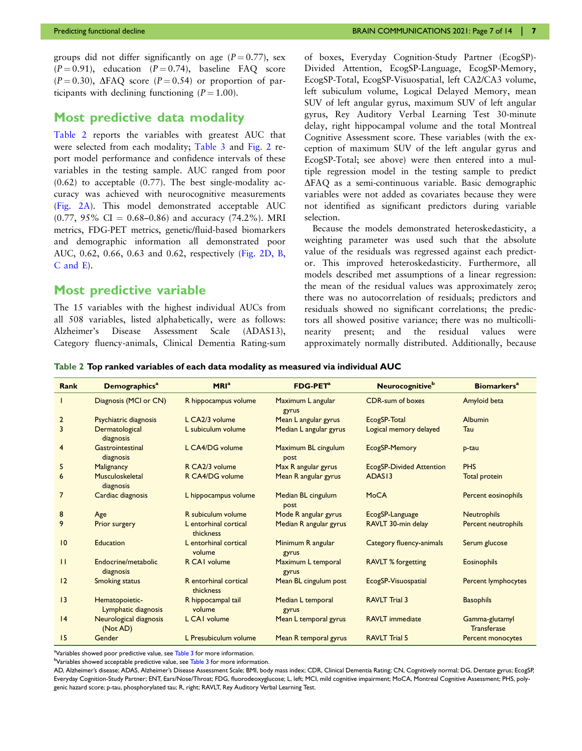groups did not differ significantly on age  $(P = 0.77)$ , sex  $(P = 0.91)$ , education  $(P = 0.74)$ , baseline FAQ score  $(P = 0.30)$ ,  $\triangle$ FAQ score  $(P = 0.54)$  or proportion of participants with declining functioning  $(P = 1.00)$ .

## Most predictive data modality

Table 2 reports the variables with greatest AUC that were selected from each modality; [Table 3](#page-7-0) and [Fig. 2](#page-7-0) report model performance and confidence intervals of these variables in the testing sample. AUC ranged from poor  $(0.62)$  to acceptable  $(0.77)$ . The best single-modality accuracy was achieved with neurocognitive measurements ([Fig. 2A\)](#page-7-0). This model demonstrated acceptable AUC  $(0.77, 95\% \text{ CI} = 0.68 - 0.86)$  and accuracy  $(74.2\%)$ . MRI metrics, FDG-PET metrics, genetic/fluid-based biomarkers and demographic information all demonstrated poor AUC, 0.62, 0.66, 0.63 and 0.62, respectively ([Fig. 2D, B,](#page-7-0) [C and E](#page-7-0)).

## Most predictive variable

The 15 variables with the highest individual AUCs from all 508 variables, listed alphabetically, were as follows: Alzheimer's Disease Assessment Scale (ADAS13), Category fluency-animals, Clinical Dementia Rating-sum of boxes, Everyday Cognition-Study Partner (EcogSP)- Divided Attention, EcogSP-Language, EcogSP-Memory, EcogSP-Total, EcogSP-Visuospatial, left CA2/CA3 volume, left subiculum volume, Logical Delayed Memory, mean SUV of left angular gyrus, maximum SUV of left angular gyrus, Rey Auditory Verbal Learning Test 30-minute delay, right hippocampal volume and the total Montreal Cognitive Assessment score. These variables (with the exception of maximum SUV of the left angular gyrus and EcogSP-Total; see above) were then entered into a multiple regression model in the testing sample to predict DFAQ as a semi-continuous variable. Basic demographic variables were not added as covariates because they were not identified as significant predictors during variable selection.

Because the models demonstrated heteroskedasticity, a weighting parameter was used such that the absolute value of the residuals was regressed against each predictor. This improved heteroskedasticity. Furthermore, all models described met assumptions of a linear regression: the mean of the residual values was approximately zero; there was no autocorrelation of residuals; predictors and residuals showed no significant correlations; the predictors all showed positive variance; there was no multicollinearity present; and the residual values were approximately normally distributed. Additionally, because

Table 2 Top ranked variables of each data modality as measured via individual AUC

| Rank           | <b>Demographics<sup>a</sup></b>       | MRI <sup>a</sup>                   | <b>FDG-PET<sup>a</sup></b>  | <b>Neurocognitive</b> <sup>b</sup> | <b>Biomarkers<sup>a</sup></b> |
|----------------|---------------------------------------|------------------------------------|-----------------------------|------------------------------------|-------------------------------|
|                | Diagnosis (MCI or CN)                 | R hippocampus volume               | Maximum L angular<br>gyrus  | CDR-sum of boxes                   | Amyloid beta                  |
| $\overline{2}$ | Psychiatric diagnosis                 | L CA2/3 volume                     | Mean L angular gyrus        | EcogSP-Total                       | Albumin                       |
| $\overline{3}$ | Dermatological<br>diagnosis           | L subiculum volume                 | Median L angular gyrus      | Logical memory delayed             | Tau                           |
| $\overline{4}$ | Gastrointestinal<br>diagnosis         | L CA4/DG volume                    | Maximum BL cingulum<br>post | EcogSP-Memory                      | p-tau                         |
| 5              | Malignancy                            | R CA2/3 volume                     | Max R angular gyrus         | <b>EcogSP-Divided Attention</b>    | <b>PHS</b>                    |
| 6              | Musculoskeletal<br>diagnosis          | R CA4/DG volume                    | Mean R angular gyrus        | ADAS <sub>13</sub>                 | Total protein                 |
| $\overline{7}$ | Cardiac diagnosis                     | L hippocampus volume               | Median BL cingulum<br>post  | <b>MoCA</b>                        | <b>Percent eosinophils</b>    |
| 8              | Age                                   | R subiculum volume                 | Mode R angular gyrus        | EcogSP-Language                    | <b>Neutrophils</b>            |
| 9              | Prior surgery                         | L entorhinal cortical<br>thickness | Median R angular gyrus      | RAVLT 30-min delay                 | Percent neutrophils           |
| 10             | Education                             | L entorhinal cortical<br>volume    | Minimum R angular<br>gyrus  | Category fluency-animals           | Serum glucose                 |
| $\mathbf{H}$   | Endocrine/metabolic<br>diagnosis      | R CAI volume                       | Maximum L temporal<br>gyrus | <b>RAVLT % forgetting</b>          | <b>Eosinophils</b>            |
| 12             | <b>Smoking status</b>                 | R entorhinal cortical<br>thickness | Mean BL cingulum post       | EcogSP-Visuospatial                | Percent lymphocytes           |
| 3              | Hematopoietic-<br>Lymphatic diagnosis | R hippocampal tail<br>volume       | Median L temporal<br>gyrus  | <b>RAVLT Trial 3</b>               | <b>Basophils</b>              |
| 4              | Neurological diagnosis<br>(Not AD)    | L CAI volume                       | Mean L temporal gyrus       | <b>RAVLT</b> immediate             | Gamma-glutamyl<br>Transferase |
| 15             | Gender                                | L Presubiculum volume              | Mean R temporal gyrus       | <b>RAVLT Trial 5</b>               | Percent monocytes             |

<sup>a</sup>Variables showed poor predictive value, see [Table 3](#page-7-0) for more information.

<sup>b</sup>Variables showed acceptable predictive value, see <mark>[Table 3](#page-7-0)</mark> for more information.

AD, Alzheimer's disease; ADAS, Alzheimer's Disease Assessment Scale; BMI, body mass index; CDR, Clinical Dementia Rating; CN, Cognitively normal; DG, Dentate gyrus; EcogSP, Everyday Cognition-Study Partner; ENT, Ears/Nose/Throat; FDG, fluorodeoxyglucose; L, left; MCI, mild cognitive impairment; MoCA, Montreal Cognitive Assessment; PHS, polygenic hazard score; p-tau, phosphorylated tau; R, right; RAVLT, Rey Auditory Verbal Learning Test.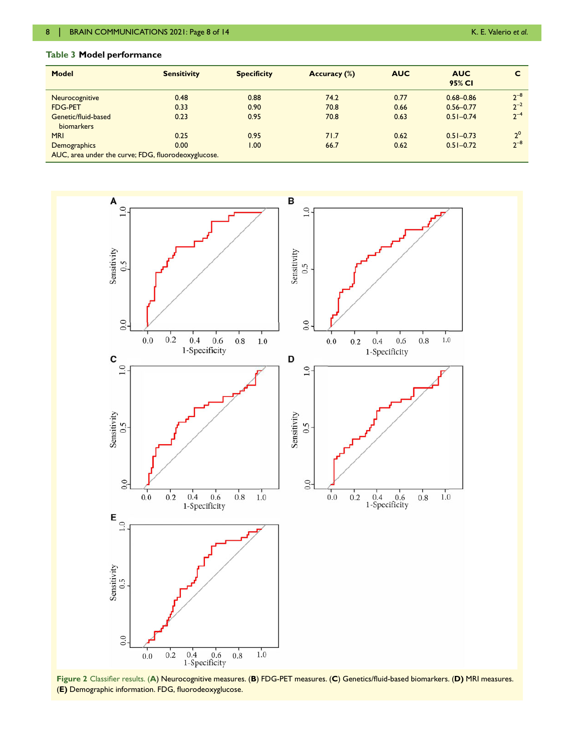## <span id="page-7-0"></span>Table 3 Model performance

| Model                                               | <b>Sensitivity</b> | <b>Specificity</b> | Accuracy (%) | <b>AUC</b> | <b>AUC</b><br>95% CI |            |  |
|-----------------------------------------------------|--------------------|--------------------|--------------|------------|----------------------|------------|--|
| Neurocognitive                                      | 0.48               | 0.88               | 74.2         | 0.77       | $0.68 - 0.86$        | $2^{-8}$   |  |
| <b>FDG-PET</b>                                      | 0.33               | 0.90               | 70.8         | 0.66       | $0.56 - 0.77$        | $2^{-2}$   |  |
| Genetic/fluid-based<br>biomarkers                   | 0.23               | 0.95               | 70.8         | 0.63       | $0.51 - 0.74$        | $2^{-4}$   |  |
| <b>MRI</b>                                          | 0.25               | 0.95               | 71.7         | 0.62       | $0.51 - 0.73$        | $\gamma^0$ |  |
| Demographics                                        | 0.00               | 00.1               | 66.7         | 0.62       | $0.51 - 0.72$        | $7 - 8$    |  |
| AUC, area under the curve; FDG, fluorodeoxyglucose. |                    |                    |              |            |                      |            |  |



Figure 2 Classifier results. (A) Neurocognitive measures. (B) FDG-PET measures. (C) Genetics/fluid-based biomarkers. (D) MRI measures. (E) Demographic information. FDG, fluorodeoxyglucose.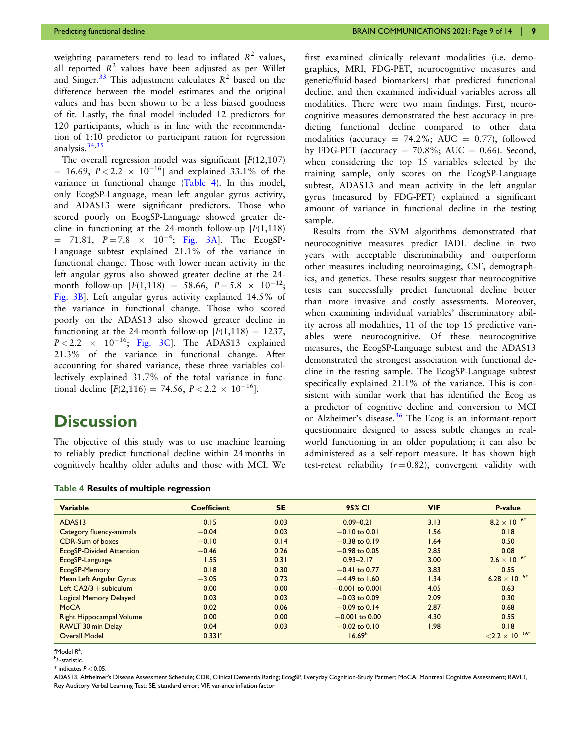<span id="page-8-0"></span>weighting parameters tend to lead to inflated  $R^2$  values, all reported  $R^2$  values have been adjusted as per Willet and Singer.<sup>[33](#page-12-0)</sup> This adjustment calculates  $R^2$  based on the difference between the model estimates and the original values and has been shown to be a less biased goodness of fit. Lastly, the final model included 12 predictors for 120 participants, which is in line with the recommendation of 1:10 predictor to participant ration for regression analysis. $34,35$ 

The overall regression model was significant  $[F(12,107)]$  $= 16.69, P < 2.2 \times 10^{-16}$  and explained 33.1% of the variance in functional change (Table 4). In this model, only EcogSP-Language, mean left angular gyrus activity, and ADAS13 were significant predictors. Those who scored poorly on EcogSP-Language showed greater decline in functioning at the 24-month follow-up  $[F(1,118)]$  $= 71.81, P = 7.8 \times 10^{-4}$ ; [Fig. 3A\]](#page-9-0). The EcogSP-Language subtest explained 21.1% of the variance in functional change. Those with lower mean activity in the left angular gyrus also showed greater decline at the 24 month follow-up  $[F(1,118) = 58.66, P = 5.8 \times 10^{-12};$ [Fig. 3B\]](#page-9-0). Left angular gyrus activity explained 14.5% of the variance in functional change. Those who scored poorly on the ADAS13 also showed greater decline in functioning at the 24-month follow-up  $[F(1,118) = 1237,$  $P < 2.2 \times 10^{-16}$ ; [Fig. 3C](#page-9-0)]. The ADAS13 explained 21.3% of the variance in functional change. After accounting for shared variance, these three variables collectively explained 31.7% of the total variance in functional decline  $[F(2,116) = 74.56, P < 2.2 \times 10^{-16}]$ .

# **Discussion**

The objective of this study was to use machine learning to reliably predict functional decline within 24 months in cognitively healthy older adults and those with MCI. We

|  |  |  | Table 4 Results of multiple regression |
|--|--|--|----------------------------------------|
|--|--|--|----------------------------------------|

first examined clinically relevant modalities (i.e. demographics, MRI, FDG-PET, neurocognitive measures and genetic/fluid-based biomarkers) that predicted functional decline, and then examined individual variables across all modalities. There were two main findings. First, neurocognitive measures demonstrated the best accuracy in predicting functional decline compared to other data modalities (accuracy = 74.2%; AUC = 0.77), followed by FDG-PET (accuracy  $= 70.8\%$ ; AUC  $= 0.66$ ). Second, when considering the top 15 variables selected by the training sample, only scores on the EcogSP-Language subtest, ADAS13 and mean activity in the left angular gyrus (measured by FDG-PET) explained a significant amount of variance in functional decline in the testing sample.

Results from the SVM algorithms demonstrated that neurocognitive measures predict IADL decline in two years with acceptable discriminability and outperform other measures including neuroimaging, CSF, demographics, and genetics. These results suggest that neurocognitive tests can successfully predict functional decline better than more invasive and costly assessments. Moreover, when examining individual variables' discriminatory ability across all modalities, 11 of the top 15 predictive variables were neurocognitive. Of these neurocognitive measures, the EcogSP-Language subtest and the ADAS13 demonstrated the strongest association with functional decline in the testing sample. The EcogSP-Language subtest specifically explained 21.1% of the variance. This is consistent with similar work that has identified the Ecog as a predictor of cognitive decline and conversion to MCI or Alzheimer's disease.<sup>[36](#page-12-0)</sup> The Ecog is an informant-report questionnaire designed to assess subtle changes in realworld functioning in an older population; it can also be administered as a self-report measure. It has shown high test-retest reliability  $(r = 0.82)$ , convergent validity with

| <b>Variable</b>                 | <b>Coefficient</b> | <b>SE</b> | 95% CI             | <b>VIF</b> | P-value                         |
|---------------------------------|--------------------|-----------|--------------------|------------|---------------------------------|
| ADAS <sub>13</sub>              | 0.15               | 0.03      | $0.09 - 0.21$      | 3.13       | $8.2 \times 10^{-6*}$           |
| Category fluency-animals        | $-0.04$            | 0.03      | $-0.10$ to 0.01    | 1.56       | 0.18                            |
| CDR-Sum of boxes                | $-0.10$            | 0.14      | $-0.38$ to 0.19    | 1.64       | 0.50                            |
| <b>EcogSP-Divided Attention</b> | $-0.46$            | 0.26      | $-0.98$ to 0.05    | 2.85       | 0.08                            |
| EcogSP-Language                 | 1.55               | 0.31      | $0.93 - 2.17$      | 3.00       | $2.6 \times 10^{-6*}$           |
| EcogSP-Memory                   | 0.18               | 0.30      | $-0.41$ to 0.77    | 3.83       | 0.55                            |
| <b>Mean Left Angular Gyrus</b>  | $-3.05$            | 0.73      | $-4.49$ to 1.60    | 1.34       | 6.28 $\times$ 10 <sup>-5*</sup> |
| Left $CA2/3 + subiculum$        | 0.00               | 0.00      | $-0.001$ to 0.001  | 4.05       | 0.63                            |
| <b>Logical Memory Delayed</b>   | 0.03               | 0.03      | $-0.03$ to 0.09    | 2.09       | 0.30                            |
| <b>MoCA</b>                     | 0.02               | 0.06      | $-0.09$ to 0.14    | 2.87       | 0.68                            |
| <b>Right Hippocampal Volume</b> | 0.00               | 0.00      | $-0.001$ to 0.00   | 4.30       | 0.55                            |
| <b>RAVLT 30 min Delay</b>       | 0.04               | 0.03      | $-0.02$ to 0.10    | 1.98       | 0.18                            |
| <b>Overall Model</b>            | $0.331^{a}$        |           | 16.69 <sup>b</sup> |            | $\leq 2.2 \times 10^{-16*}$     |

 $^{\circ}$ Model  $R^2$ .

<sup>b</sup>F-statistic.

 $*$  indicates  $P < 0.05$ .

ADAS13, Alzheimer's Disease Assessment Schedule; CDR, Clinical Dementia Rating; EcogSP, Everyday Cognition-Study Partner; MoCA, Montreal Cognitive Assessment; RAVLT, Rey Auditory Verbal Learning Test; SE, standard error; VIF, variance inflation factor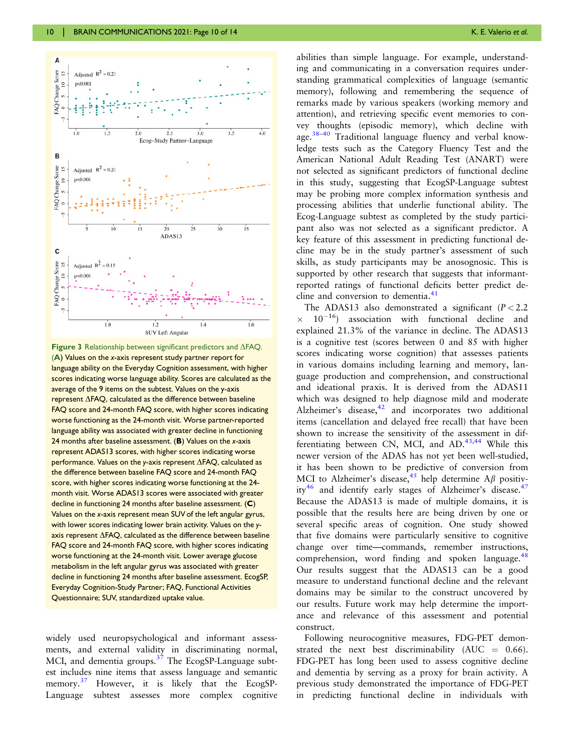<span id="page-9-0"></span>

Figure 3 Relationship between significant predictors and  $\Delta$ FAQ. (A) Values on the x-axis represent study partner report for language ability on the Everyday Cognition assessment, with higher scores indicating worse language ability. Scores are calculated as the average of the 9 items on the subtest. Values on the y-axis represent  $\Delta$ FAQ, calculated as the difference between baseline FAQ score and 24-month FAQ score, with higher scores indicating worse functioning as the 24-month visit. Worse partner-reported language ability was associated with greater decline in functioning 24 months after baseline assessment. (B) Values on the x-axis represent ADAS13 scores, with higher scores indicating worse performance. Values on the y-axis represent  $\Delta$ FAQ, calculated as the difference between baseline FAQ score and 24-month FAQ score, with higher scores indicating worse functioning at the 24 month visit. Worse ADAS13 scores were associated with greater decline in functioning 24 months after baseline assessment. (C) Values on the x-axis represent mean SUV of the left angular gyrus, with lower scores indicating lower brain activity. Values on the yaxis represent  $\Delta$ FAQ, calculated as the difference between baseline FAQ score and 24-month FAQ score, with higher scores indicating worse functioning at the 24-month visit. Lower average glucose metabolism in the left angular gyrus was associated with greater decline in functioning 24 months after baseline assessment. EcogSP, Everyday Cognition-Study Partner; FAQ, Functional Activities Questionnaire; SUV, standardized uptake value.

widely used neuropsychological and informant assessments, and external validity in discriminating normal, MCI, and dementia groups.<sup>[37](#page-12-0)</sup> The EcogSP-Language subtest includes nine items that assess language and semantic memory.<sup>37</sup> However, it is likely that the EcogSP-Language subtest assesses more complex cognitive

abilities than simple language. For example, understanding and communicating in a conversation requires understanding grammatical complexities of language (semantic memory), following and remembering the sequence of remarks made by various speakers (working memory and attention), and retrieving specific event memories to convey thoughts (episodic memory), which decline with age.<sup>38–[40](#page-12-0)</sup> Traditional language fluency and verbal knowledge tests such as the Category Fluency Test and the American National Adult Reading Test (ANART) were not selected as significant predictors of functional decline in this study, suggesting that EcogSP-Language subtest may be probing more complex information synthesis and processing abilities that underlie functional ability. The Ecog-Language subtest as completed by the study participant also was not selected as a significant predictor. A key feature of this assessment in predicting functional decline may be in the study partner's assessment of such skills, as study participants may be anosognosic. This is supported by other research that suggests that informantreported ratings of functional deficits better predict decline and conversion to dementia.<sup>41</sup>

The ADAS13 also demonstrated a significant  $(P < 2.2$  $\times$  10<sup>-16</sup>) association with functional decline and explained 21.3% of the variance in decline. The ADAS13 is a cognitive test (scores between 0 and 85 with higher scores indicating worse cognition) that assesses patients in various domains including learning and memory, language production and comprehension, and constructional and ideational praxis. It is derived from the ADAS11 which was designed to help diagnose mild and moderate Alzheimer's disease, $42$  and incorporates two additional items (cancellation and delayed free recall) that have been shown to increase the sensitivity of the assessment in dif-ferentiating between CN, MCI, and AD.<sup>[43,44](#page-13-0)</sup> While this newer version of the ADAS has not yet been well-studied, it has been shown to be predictive of conversion from MCI to Alzheimer's disease,  $45$  help determine A $\beta$  positiv-ity<sup>[46](#page-13-0)</sup> and identify early stages of Alzheimer's disease.<sup>[47](#page-13-0)</sup> Because the ADAS13 is made of multiple domains, it is possible that the results here are being driven by one or several specific areas of cognition. One study showed that five domains were particularly sensitive to cognitive change over time—commands, remember instructions, comprehension, word finding and spoken language.<sup>48</sup> Our results suggest that the ADAS13 can be a good measure to understand functional decline and the relevant domains may be similar to the construct uncovered by our results. Future work may help determine the importance and relevance of this assessment and potential construct.

Following neurocognitive measures, FDG-PET demonstrated the next best discriminability (AUC  $= 0.66$ ). FDG-PET has long been used to assess cognitive decline and dementia by serving as a proxy for brain activity. A previous study demonstrated the importance of FDG-PET in predicting functional decline in individuals with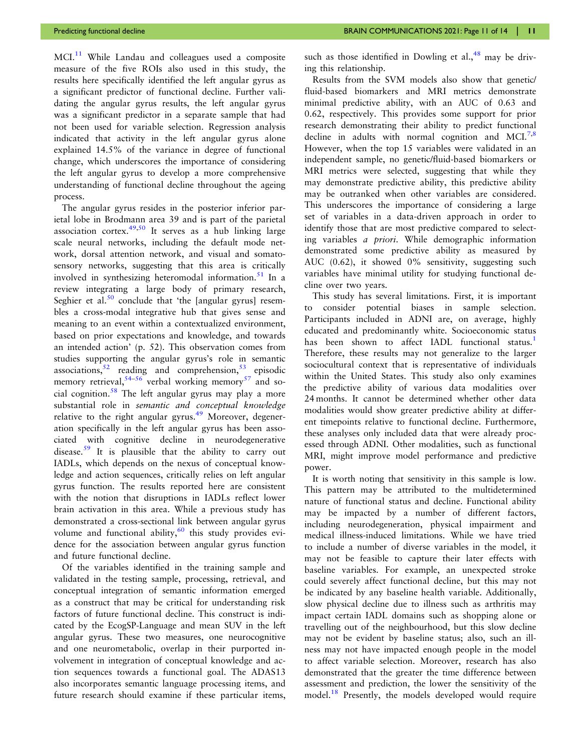<span id="page-10-0"></span>Predicting functional decline and the state of the BRAIN COMMUNICATIONS 2021: Page 11 of 14 | 11

 $MCI<sup>11</sup>$  $MCI<sup>11</sup>$  $MCI<sup>11</sup>$  While Landau and colleagues used a composite measure of the five ROIs also used in this study, the results here specifically identified the left angular gyrus as a significant predictor of functional decline. Further validating the angular gyrus results, the left angular gyrus was a significant predictor in a separate sample that had not been used for variable selection. Regression analysis indicated that activity in the left angular gyrus alone explained 14.5% of the variance in degree of functional change, which underscores the importance of considering the left angular gyrus to develop a more comprehensive understanding of functional decline throughout the ageing process.

The angular gyrus resides in the posterior inferior parietal lobe in Brodmann area 39 and is part of the parietal association cortex.[49,50](#page-13-0) It serves as a hub linking large scale neural networks, including the default mode network, dorsal attention network, and visual and somatosensory networks, suggesting that this area is critically involved in synthesizing heteromodal information.<sup>[51](#page-13-0)</sup> In a review integrating a large body of primary research, Seghier et al.<sup>[50](#page-13-0)</sup> conclude that 'the [angular gyrus] resembles a cross-modal integrative hub that gives sense and meaning to an event within a contextualized environment, based on prior expectations and knowledge, and towards an intended action' (p. 52). This observation comes from studies supporting the angular gyrus's role in semantic associations,  $52$  reading and comprehension,  $53$  episodic memory retrieval,  $54-56$  verbal working memory<sup>[57](#page-13-0)</sup> and so-cial cognition.<sup>[58](#page-13-0)</sup> The left angular gyrus may play a more substantial role in semantic and conceptual knowledge relative to the right angular gyrus.<sup>[49](#page-13-0)</sup> Moreover, degeneration specifically in the left angular gyrus has been associated with cognitive decline in neurodegenerative disease.<sup>[59](#page-13-0)</sup> It is plausible that the ability to carry out IADLs, which depends on the nexus of conceptual knowledge and action sequences, critically relies on left angular gyrus function. The results reported here are consistent with the notion that disruptions in IADLs reflect lower brain activation in this area. While a previous study has demonstrated a cross-sectional link between angular gyrus volume and functional ability, $60$  this study provides evidence for the association between angular gyrus function and future functional decline.

Of the variables identified in the training sample and validated in the testing sample, processing, retrieval, and conceptual integration of semantic information emerged as a construct that may be critical for understanding risk factors of future functional decline. This construct is indicated by the EcogSP-Language and mean SUV in the left angular gyrus. These two measures, one neurocognitive and one neurometabolic, overlap in their purported involvement in integration of conceptual knowledge and action sequences towards a functional goal. The ADAS13 also incorporates semantic language processing items, and future research should examine if these particular items, such as those identified in Dowling et al., $48$  may be driving this relationship.

Results from the SVM models also show that genetic/ fluid-based biomarkers and MRI metrics demonstrate minimal predictive ability, with an AUC of 0.63 and 0.62, respectively. This provides some support for prior research demonstrating their ability to predict functional decline in adults with normal cognition and  $MCI^{7,8}$  $MCI^{7,8}$  $MCI^{7,8}$ However, when the top 15 variables were validated in an independent sample, no genetic/fluid-based biomarkers or MRI metrics were selected, suggesting that while they may demonstrate predictive ability, this predictive ability may be outranked when other variables are considered. This underscores the importance of considering a large set of variables in a data-driven approach in order to identify those that are most predictive compared to selecting variables a priori. While demographic information demonstrated some predictive ability as measured by AUC (0.62), it showed 0% sensitivity, suggesting such variables have minimal utility for studying functional decline over two years.

This study has several limitations. First, it is important to consider potential biases in sample selection. Participants included in ADNI are, on average, highly educated and predominantly white. Socioeconomic status has been shown to affect IADL functional status.<sup>[1](#page-11-0)</sup> Therefore, these results may not generalize to the larger sociocultural context that is representative of individuals within the United States. This study also only examines the predictive ability of various data modalities over 24 months. It cannot be determined whether other data modalities would show greater predictive ability at different timepoints relative to functional decline. Furthermore, these analyses only included data that were already processed through ADNI. Other modalities, such as functional MRI, might improve model performance and predictive power.

It is worth noting that sensitivity in this sample is low. This pattern may be attributed to the multidetermined nature of functional status and decline. Functional ability may be impacted by a number of different factors, including neurodegeneration, physical impairment and medical illness-induced limitations. While we have tried to include a number of diverse variables in the model, it may not be feasible to capture their later effects with baseline variables. For example, an unexpected stroke could severely affect functional decline, but this may not be indicated by any baseline health variable. Additionally, slow physical decline due to illness such as arthritis may impact certain IADL domains such as shopping alone or travelling out of the neighbourhood, but this slow decline may not be evident by baseline status; also, such an illness may not have impacted enough people in the model to affect variable selection. Moreover, research has also demonstrated that the greater the time difference between assessment and prediction, the lower the sensitivity of the model.<sup>[18](#page-12-0)</sup> Presently, the models developed would require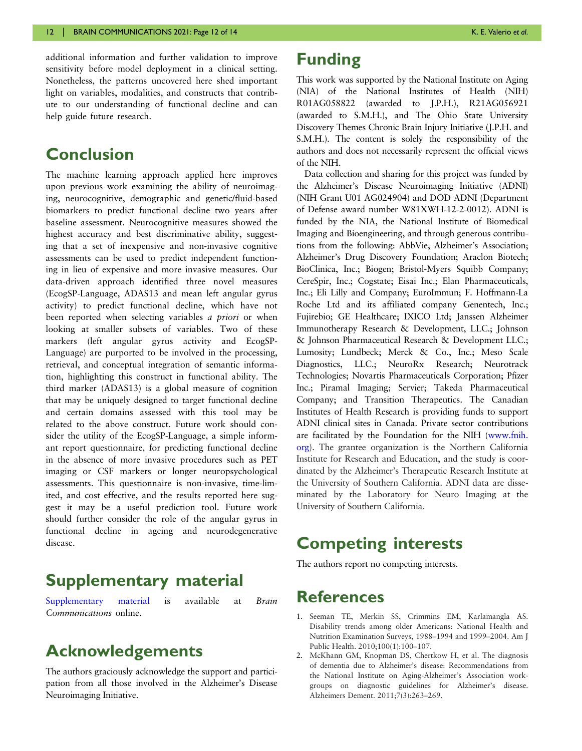<span id="page-11-0"></span>additional information and further validation to improve sensitivity before model deployment in a clinical setting. Nonetheless, the patterns uncovered here shed important light on variables, modalities, and constructs that contribute to our understanding of functional decline and can help guide future research.

# Conclusion

The machine learning approach applied here improves upon previous work examining the ability of neuroimaging, neurocognitive, demographic and genetic/fluid-based biomarkers to predict functional decline two years after baseline assessment. Neurocognitive measures showed the highest accuracy and best discriminative ability, suggesting that a set of inexpensive and non-invasive cognitive assessments can be used to predict independent functioning in lieu of expensive and more invasive measures. Our data-driven approach identified three novel measures (EcogSP-Language, ADAS13 and mean left angular gyrus activity) to predict functional decline, which have not been reported when selecting variables a priori or when looking at smaller subsets of variables. Two of these markers (left angular gyrus activity and EcogSP-Language) are purported to be involved in the processing, retrieval, and conceptual integration of semantic information, highlighting this construct in functional ability. The third marker (ADAS13) is a global measure of cognition that may be uniquely designed to target functional decline and certain domains assessed with this tool may be related to the above construct. Future work should consider the utility of the EcogSP-Language, a simple informant report questionnaire, for predicting functional decline in the absence of more invasive procedures such as PET imaging or CSF markers or longer neuropsychological assessments. This questionnaire is non-invasive, time-limited, and cost effective, and the results reported here suggest it may be a useful prediction tool. Future work should further consider the role of the angular gyrus in functional decline in ageing and neurodegenerative disease.

# Supplementary material

[Supplementary material](https://academic.oup.com/braincomms/article-lookup/doi/10.1093/braincomms/fcab140#supplementary-data) is available at Brain Communications online.

## Acknowledgements

The authors graciously acknowledge the support and participation from all those involved in the Alzheimer's Disease Neuroimaging Initiative.

# Funding

This work was supported by the National Institute on Aging (NIA) of the National Institutes of Health (NIH) R01AG058822 (awarded to J.P.H.), R21AG056921 (awarded to S.M.H.), and The Ohio State University Discovery Themes Chronic Brain Injury Initiative (J.P.H. and S.M.H.). The content is solely the responsibility of the authors and does not necessarily represent the official views of the NIH.

Data collection and sharing for this project was funded by the Alzheimer's Disease Neuroimaging Initiative (ADNI) (NIH Grant U01 AG024904) and DOD ADNI (Department of Defense award number W81XWH-12-2-0012). ADNI is funded by the NIA, the National Institute of Biomedical Imaging and Bioengineering, and through generous contributions from the following: AbbVie, Alzheimer's Association; Alzheimer's Drug Discovery Foundation; Araclon Biotech; BioClinica, Inc.; Biogen; Bristol-Myers Squibb Company; CereSpir, Inc.; Cogstate; Eisai Inc.; Elan Pharmaceuticals, Inc.; Eli Lilly and Company; EuroImmun; F. Hoffmann-La Roche Ltd and its affiliated company Genentech, Inc.; Fujirebio; GE Healthcare; IXICO Ltd; Janssen Alzheimer Immunotherapy Research & Development, LLC.; Johnson & Johnson Pharmaceutical Research & Development LLC.; Lumosity; Lundbeck; Merck & Co., Inc.; Meso Scale Diagnostics, LLC.; NeuroRx Research; Neurotrack Technologies; Novartis Pharmaceuticals Corporation; Pfizer Inc.; Piramal Imaging; Servier; Takeda Pharmaceutical Company; and Transition Therapeutics. The Canadian Institutes of Health Research is providing funds to support ADNI clinical sites in Canada. Private sector contributions are facilitated by the Foundation for the NIH ([www.fnih.](http://www.fnih.org) [org](http://www.fnih.org)). The grantee organization is the Northern California Institute for Research and Education, and the study is coordinated by the Alzheimer's Therapeutic Research Institute at the University of Southern California. ADNI data are disseminated by the Laboratory for Neuro Imaging at the University of Southern California.

# Competing interests

The authors report no competing interests.

# References

- [1](#page-1-0). Seeman TE, Merkin SS, Crimmins EM, Karlamangla AS. Disability trends among older Americans: National Health and Nutrition Examination Surveys, 1988–1994 and 1999–2004. Am J Public Health. 2010;100(1):100–107.
- [2](#page-1-0). McKhann GM, Knopman DS, Chertkow H, et al. The diagnosis of dementia due to Alzheimer's disease: Recommendations from the National Institute on Aging-Alzheimer's Association workgroups on diagnostic guidelines for Alzheimer's disease. Alzheimers Dement. 2011;7(3):263–269.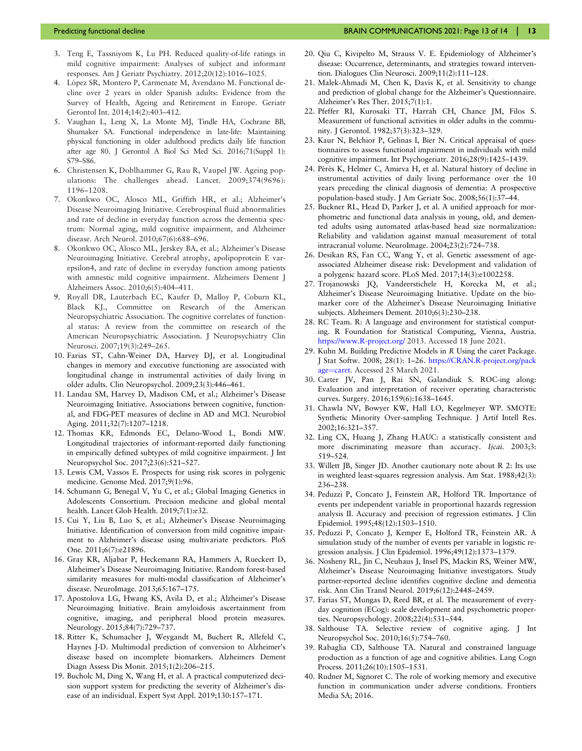- <span id="page-12-0"></span>[3](#page-1-0). Teng E, Tassniyom K, Lu PH. Reduced quality-of-life ratings in mild cognitive impairment: Analyses of subject and informant responses. Am J Geriatr Psychiatry. 2012;20(12):1016–1025.
- [4](#page-1-0). López SR, Montero P, Carmenate M, Avendano M. Functional decline over 2 years in older Spanish adults: Evidence from the Survey of Health, Ageing and Retirement in Europe. Geriatr Gerontol Int. 2014;14(2):403–412.
- [5](#page-1-0). Vaughan L, Leng X, La Monte MJ, Tindle HA, Cochrane BB, Shumaker SA. Functional independence in late-life: Maintaining physical functioning in older adulthood predicts daily life function after age 80. J Gerontol A Biol Sci Med Sci. 2016;71(Suppl 1): S79–S86.
- [6](#page-1-0). Christensen K, Doblhammer G, Rau R, Vaupel JW. Ageing populations: The challenges ahead. Lancet. 2009;374(9696): 1196–1208.
- [7](#page-1-0). Okonkwo OC, Alosco ML, Griffith HR, et al.; Alzheimer's Disease Neuroimaging Initiative. Cerebrospinal fluid abnormalities and rate of decline in everyday function across the dementia spectrum: Normal aging, mild cognitive impairment, and Alzheimer disease. Arch Neurol. 2010;67(6):688–696.
- [8](#page-1-0). Okonkwo OC, Alosco ML, Jerskey BA, et al.; Alzheimer's Disease Neuroimaging Initiative. Cerebral atrophy, apolipoprotein E varepsilon4, and rate of decline in everyday function among patients with amnestic mild cognitive impairment. Alzheimers Dement J Alzheimers Assoc. 2010;6(5):404–411.
- 9. Royall DR, Lauterbach EC, Kaufer D, Malloy P, Coburn KL, Black KJ., Committee on Research of the American Neuropsychiatric Association. The cognitive correlates of functional status: A review from the committee on research of the American Neuropsychiatric Association. J Neuropsychiatry Clin Neurosci. 2007;19(3):249–265.
- 10. Farias ST, Cahn-Weiner DA, Harvey DJ, et al. Longitudinal changes in memory and executive functioning are associated with longitudinal change in instrumental activities of daily living in older adults. Clin Neuropsychol. 2009;23(3):446–461.
- [11](#page-3-0). Landau SM, Harvey D, Madison CM, et al.; Alzheimer's Disease Neuroimaging Initiative. Associations between cognitive, functional, and FDG-PET measures of decline in AD and MCI. Neurobiol Aging. 2011;32(7):1207–1218.
- 12. Thomas KR, Edmonds EC, Delano-Wood L, Bondi MW. Longitudinal trajectories of informant-reported daily functioning in empirically defined subtypes of mild cognitive impairment. J Int Neuropsychol Soc. 2017;23(6):521–527.
- [13](#page-1-0). Lewis CM, Vassos E. Prospects for using risk scores in polygenic medicine. Genome Med. 2017;9(1):96.
- [14](#page-2-0). Schumann G, Benegal V, Yu C, et al.; Global Imaging Genetics in Adolescents Consortium. Precision medicine and global mental health. Lancet Glob Health. 2019;7(1):e32.
- 15. Cui Y, Liu B, Luo S, et al.; Alzheimer's Disease Neuroimaging Initiative. Identification of conversion from mild cognitive impairment to Alzheimer's disease using multivariate predictors. PloS One. 2011;6(7):e21896.
- 16. Gray KR, Aljabar P, Heckemann RA, Hammers A, Rueckert D, Alzheimer's Disease Neuroimaging Initiative. Random forest-based similarity measures for multi-modal classification of Alzheimer's disease. NeuroImage. 2013;65:167–175.
- 17. Apostolova LG, Hwang KS, Avila D, et al.; Alzheimer's Disease Neuroimaging Initiative. Brain amyloidosis ascertainment from cognitive, imaging, and peripheral blood protein measures. Neurology. 2015;84(7):729–737.
- [18](#page-10-0). Ritter K, Schumacher J, Weygandt M, Buchert R, Allefeld C, Haynes J-D. Multimodal prediction of conversion to Alzheimer's disease based on incomplete biomarkers. Alzheimers Dement Diagn Assess Dis Monit. 2015;1(2):206–215.
- 19. Bucholc M, Ding X, Wang H, et al. A practical computerized decision support system for predicting the severity of Alzheimer's disease of an individual. Expert Syst Appl. 2019;130:157–171.
- [20](#page-2-0). Qiu C, Kivipelto M, Strauss V. E. Epidemiology of Alzheimer's disease: Occurrence, determinants, and strategies toward intervention. Dialogues Clin Neurosci. 2009;11(2):111–128.
- [21](#page-2-0). Malek-Ahmadi M, Chen K, Davis K, et al. Sensitivity to change and prediction of global change for the Alzheimer's Questionnaire. Alzheimer's Res Ther. 2015;7(1):1.
- [22](#page-2-0). Pfeffer RI, Kurosaki TT, Harrah CH, Chance JM, Filos S. Measurement of functional activities in older adults in the community. J Gerontol. 1982;37(3):323–329.
- [23](#page-2-0). Kaur N, Belchior P, Gelinas I, Bier N. Critical appraisal of questionnaires to assess functional impairment in individuals with mild cognitive impairment. Int Psychogeriatr. 2016;28(9):1425–1439.
- [24](#page-2-0). Pérès K, Helmer C, Amieva H, et al. Natural history of decline in instrumental activities of daily living performance over the 10 years preceding the clinical diagnosis of dementia: A prospective population-based study. J Am Geriatr Soc. 2008;56(1):37–44.
- [25](#page-3-0). Buckner RL, Head D, Parker J, et al. A unified approach for morphometric and functional data analysis in young, old, and demented adults using automated atlas-based head size normalization: Reliability and validation against manual measurement of total intracranial volume. NeuroImage. 2004;23(2):724–738.
- [26](#page-3-0). Desikan RS, Fan CC, Wang Y, et al. Genetic assessment of ageassociated Alzheimer disease risk: Development and validation of a polygenic hazard score. PLoS Med. 2017;14(3):e1002258.
- [27](#page-3-0). Trojanowski JQ, Vandeerstichele H, Korecka M, et al.; Alzheimer's Disease Neuroimaging Initiative. Update on the biomarker core of the Alzheimer's Disease Neuroimaging Initiative subjects. Alzheimers Dement. 2010;6(3):230–238.
- [28](#page-3-0). RC Team. R: A language and environment for statistical computing. R Foundation for Statistical Computing, Vienna, Austria. <https://www.R-project.org/> 2013. Accessed 18 June 2021.
- [29](#page-3-0). Kuhn M. Building Predictive Models in R Using the caret Package. J Stat Softw. 2008; 28(1): 1–26. [https://CRAN.R-project.org/pack](https://CRAN.R-project.org/package=caret) [age](https://CRAN.R-project.org/package=caret)=[caret.](https://CRAN.R-project.org/package=caret) Accessed 25 March 2021.
- [30](#page-3-0). Carter JV, Pan J, Rai SN, Galandiuk S. ROC-ing along: Evaluation and interpretation of receiver operating characteristic curves. Surgery. 2016;159(6):1638–1645.
- [31](#page-5-0). Chawla NV, Bowyer KW, Hall LO, Kegelmeyer WP. SMOTE: Synthetic Minority Over-sampling Technique. J Artif Intell Res. 2002;16:321–357.
- [32](#page-5-0). Ling CX, Huang J, Zhang H.AUC: a statistically consistent and more discriminating measure than accuracy. Ijcai. 2003;3: 519–524.
- [33](#page-8-0). Willett JB, Singer JD. Another cautionary note about R 2: Its use in weighted least-squares regression analysis. Am Stat. 1988;42(3): 236–238.
- [34](#page-8-0). Peduzzi P, Concato J, Feinstein AR, Holford TR. Importance of events per independent variable in proportional hazards regression analysis II. Accuracy and precision of regression estimates. J Clin Epidemiol. 1995;48(12):1503–1510.
- [35](#page-8-0). Peduzzi P, Concato J, Kemper E, Holford TR, Feinstein AR. A simulation study of the number of events per variable in logistic regression analysis. J Clin Epidemiol. 1996;49(12):1373–1379.
- [36](#page-8-0). Nosheny RL, Jin C, Neuhaus J, Insel PS, Mackin RS, Weiner MW, Alzheimer's Disease Neuroimaging Initiative investigators. Study partner-reported decline identifies cognitive decline and dementia risk. Ann Clin Transl Neurol. 2019;6(12):2448–2459.
- [37](#page-9-0). Farias ST, Mungas D, Reed BR, et al. The measurement of everyday cognition (ECog): scale development and psychometric properties. Neuropsychology. 2008;22(4):531–544.
- 38. Salthouse TA. Selective review of cognitive aging. J Int Neuropsychol Soc. 2010;16(5):754–760.
- 39. Rabaglia CD, Salthouse TA. Natural and constrained language production as a function of age and cognitive abilities. Lang Cogn Process. 2011;26(10):1505–1531.
- 40. Rudner M, Signoret C. The role of working memory and executive function in communication under adverse conditions. Frontiers Media SA; 2016.